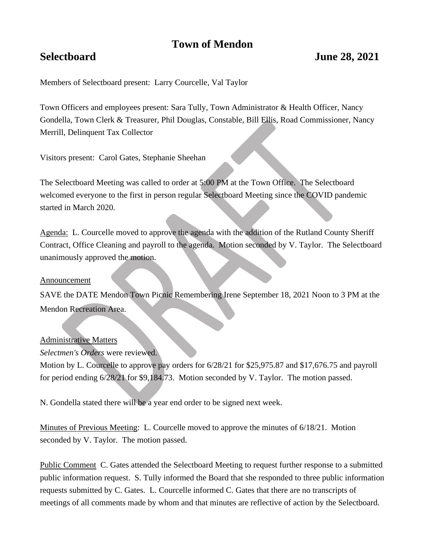# **Town of Mendon**

Members of Selectboard present: Larry Courcelle, Val Taylor

Town Officers and employees present: Sara Tully, Town Administrator & Health Officer, Nancy Gondella, Town Clerk & Treasurer, Phil Douglas, Constable, Bill Ellis, Road Commissioner, Nancy Merrill, Delinquent Tax Collector

Visitors present: Carol Gates, Stephanie Sheehan

The Selectboard Meeting was called to order at 5:00 PM at the Town Office. The Selectboard welcomed everyone to the first in person regular Selectboard Meeting since the COVID pandemic started in March 2020.

Agenda: L. Courcelle moved to approve the agenda with the addition of the Rutland County Sheriff Contract, Office Cleaning and payroll to the agenda. Motion seconded by V. Taylor. The Selectboard unanimously approved the motion.

## Announcement

SAVE the DATE Mendon Town Picnic Remembering Irene September 18, 2021 Noon to 3 PM at the Mendon Recreation Area.

## Administrative Matters

*Selectmen's Orders* were reviewed.

Motion by L. Courcelle to approve pay orders for  $6/28/21$  for \$25,975.87 and \$17,676.75 and payroll for period ending 6/28/21 for \$9,184.73. Motion seconded by V. Taylor. The motion passed.

N. Gondella stated there will be a year end order to be signed next week.

Minutes of Previous Meeting: L. Courcelle moved to approve the minutes of 6/18/21. Motion seconded by V. Taylor. The motion passed.

Public Comment C. Gates attended the Selectboard Meeting to request further response to a submitted public information request. S. Tully informed the Board that she responded to three public information requests submitted by C. Gates. L. Courcelle informed C. Gates that there are no transcripts of meetings of all comments made by whom and that minutes are reflective of action by the Selectboard.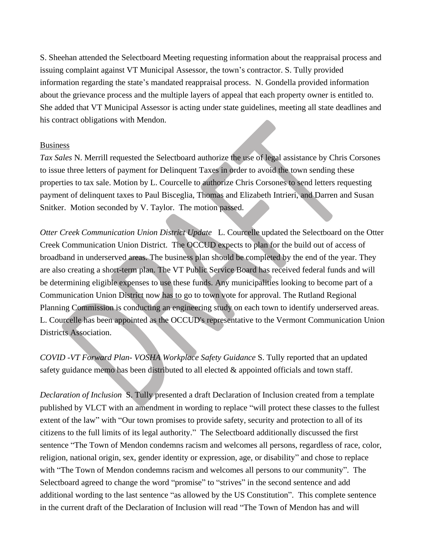S. Sheehan attended the Selectboard Meeting requesting information about the reappraisal process and issuing complaint against VT Municipal Assessor, the town's contractor. S. Tully provided information regarding the state's mandated reappraisal process. N. Gondella provided information about the grievance process and the multiple layers of appeal that each property owner is entitled to. She added that VT Municipal Assessor is acting under state guidelines, meeting all state deadlines and his contract obligations with Mendon.

#### Business

*Tax Sales* N. Merrill requested the Selectboard authorize the use of legal assistance by Chris Corsones to issue three letters of payment for Delinquent Taxes in order to avoid the town sending these properties to tax sale. Motion by L. Courcelle to authorize Chris Corsones to send letters requesting payment of delinquent taxes to Paul Bisceglia, Thomas and Elizabeth Intrieri, and Darren and Susan Snitker. Motion seconded by V. Taylor. The motion passed.

*Otter Creek Communication Union District Update* L. Courcelle updated the Selectboard on the Otter Creek Communication Union District. The OCCUD expects to plan for the build out of access of broadband in underserved areas. The business plan should be completed by the end of the year. They are also creating a short-term plan. The VT Public Service Board has received federal funds and will be determining eligible expenses to use these funds. Any municipalities looking to become part of a Communication Union District now has to go to town vote for approval. The Rutland Regional Planning Commission is conducting an engineering study on each town to identify underserved areas. L. Courcelle has been appointed as the OCCUD's representative to the Vermont Communication Union Districts Association.

*COVID -VT Forward Plan- VOSHA Workplace Safety Guidance* S. Tully reported that an updated safety guidance memo has been distributed to all elected & appointed officials and town staff.

*Declaration of Inclusion* S. Tully presented a draft Declaration of Inclusion created from a template published by VLCT with an amendment in wording to replace "will protect these classes to the fullest extent of the law" with "Our town promises to provide safety, security and protection to all of its citizens to the full limits of its legal authority." The Selectboard additionally discussed the first sentence "The Town of Mendon condemns racism and welcomes all persons, regardless of race, color, religion, national origin, sex, gender identity or expression, age, or disability" and chose to replace with "The Town of Mendon condemns racism and welcomes all persons to our community". The Selectboard agreed to change the word "promise" to "strives" in the second sentence and add additional wording to the last sentence "as allowed by the US Constitution". This complete sentence in the current draft of the Declaration of Inclusion will read "The Town of Mendon has and will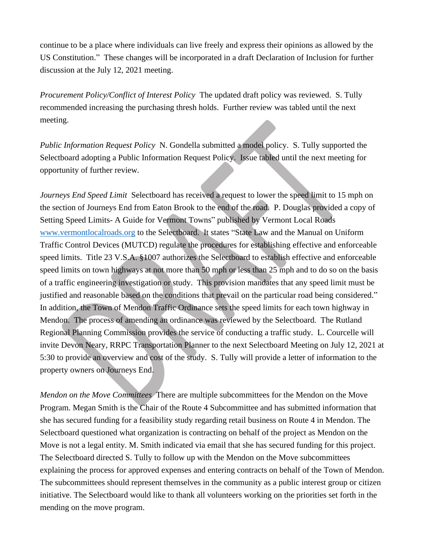continue to be a place where individuals can live freely and express their opinions as allowed by the US Constitution." These changes will be incorporated in a draft Declaration of Inclusion for further discussion at the July 12, 2021 meeting.

*Procurement Policy/Conflict of Interest Policy* The updated draft policy was reviewed. S. Tully recommended increasing the purchasing thresh holds. Further review was tabled until the next meeting.

*Public Information Request Policy* N. Gondella submitted a model policy. S. Tully supported the Selectboard adopting a Public Information Request Policy. Issue tabled until the next meeting for opportunity of further review*.*

*Journeys End Speed Limit* Selectboard has received a request to lower the speed limit to 15 mph on the section of Journeys End from Eaton Brook to the end of the road. P. Douglas provided a copy of Setting Speed Limits- A Guide for Vermont Towns" published by Vermont Local Roads [www.vermontlocalroads.org](http://www.vermontlocalroads.org/) to the Selectboard. It states "State Law and the Manual on Uniform Traffic Control Devices (MUTCD) regulate the procedures for establishing effective and enforceable speed limits. Title 23 V.S.A. §1007 authorizes the Selectboard to establish effective and enforceable speed limits on town highways at not more than 50 mph or less than 25 mph and to do so on the basis of a traffic engineering investigation or study. This provision mandates that any speed limit must be justified and reasonable based on the conditions that prevail on the particular road being considered." In addition, the Town of Mendon Traffic Ordinance sets the speed limits for each town highway in Mendon. The process of amending an ordinance was reviewed by the Selectboard. The Rutland Regional Planning Commission provides the service of conducting a traffic study. L. Courcelle will invite Devon Neary, RRPC Transportation Planner to the next Selectboard Meeting on July 12, 2021 at 5:30 to provide an overview and cost of the study. S. Tully will provide a letter of information to the property owners on Journeys End.

*Mendon on the Move Committees* There are multiple subcommittees for the Mendon on the Move Program. Megan Smith is the Chair of the Route 4 Subcommittee and has submitted information that she has secured funding for a feasibility study regarding retail business on Route 4 in Mendon. The Selectboard questioned what organization is contracting on behalf of the project as Mendon on the Move is not a legal entity. M. Smith indicated via email that she has secured funding for this project. The Selectboard directed S. Tully to follow up with the Mendon on the Move subcommittees explaining the process for approved expenses and entering contracts on behalf of the Town of Mendon. The subcommittees should represent themselves in the community as a public interest group or citizen initiative. The Selectboard would like to thank all volunteers working on the priorities set forth in the mending on the move program.